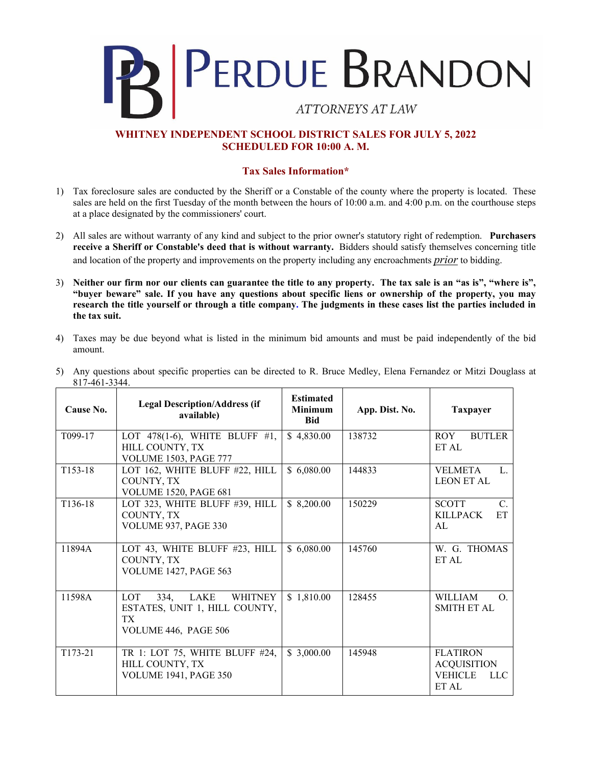

## **WHITNEY INDEPENDENT SCHOOL DISTRICT SALES FOR JULY 5, 2022 SCHEDULED FOR 10:00 A. M.**

## **Tax Sales Information\***

- 1) Tax foreclosure sales are conducted by the Sheriff or a Constable of the county where the property is located. These sales are held on the first Tuesday of the month between the hours of 10:00 a.m. and 4:00 p.m. on the courthouse steps at a place designated by the commissioners' court.
- 2) All sales are without warranty of any kind and subject to the prior owner's statutory right of redemption. **Purchasers receive a Sheriff or Constable's deed that is without warranty.** Bidders should satisfy themselves concerning title and location of the property and improvements on the property including any encroachments *prior* to bidding.
- 3) **Neither our firm nor our clients can guarantee the title to any property. The tax sale is an "as is", "where is", "buyer beware" sale. If you have any questions about specific liens or ownership of the property, you may research the title yourself or through a title company. The judgments in these cases list the parties included in the tax suit.**
- 4) Taxes may be due beyond what is listed in the minimum bid amounts and must be paid independently of the bid amount.

| Cause No.            | <b>Legal Description/Address (if</b><br>available)                                                           | <b>Estimated</b><br><b>Minimum</b><br><b>Bid</b> | App. Dist. No. | <b>Taxpayer</b>                                                         |
|----------------------|--------------------------------------------------------------------------------------------------------------|--------------------------------------------------|----------------|-------------------------------------------------------------------------|
| T <sub>099</sub> -17 | LOT 478(1-6), WHITE BLUFF #1,<br>HILL COUNTY, TX<br><b>VOLUME 1503, PAGE 777</b>                             | \$4,830.00                                       | 138732         | <b>ROY</b><br><b>BUTLER</b><br>ET AL                                    |
| T <sub>153</sub> -18 | LOT 162, WHITE BLUFF #22, HILL<br>COUNTY, TX<br><b>VOLUME 1520, PAGE 681</b>                                 | \$6,080.00                                       | 144833         | <b>VELMETA</b><br>$\mathbf{L}$<br><b>LEON ET AL</b>                     |
| T <sub>136</sub> -18 | LOT 323, WHITE BLUFF #39, HILL<br>COUNTY, TX<br>VOLUME 937, PAGE 330                                         | \$8,200.00                                       | 150229         | <b>SCOTT</b><br>$C_{\cdot}$<br><b>KILLPACK</b><br>ET<br>AL              |
| 11894A               | LOT 43, WHITE BLUFF #23, HILL<br>COUNTY, TX<br><b>VOLUME 1427, PAGE 563</b>                                  | \$6,080.00                                       | 145760         | W. G. THOMAS<br>ET AL                                                   |
| 11598A               | <b>LOT</b><br>334,<br>LAKE<br><b>WHITNEY</b><br>ESTATES, UNIT 1, HILL COUNTY,<br>TX.<br>VOLUME 446, PAGE 506 | \$1,810.00                                       | 128455         | <b>WILLIAM</b><br>$\Omega$ .<br><b>SMITH ET AL</b>                      |
| T173-21              | TR 1: LOT 75, WHITE BLUFF #24,<br>HILL COUNTY, TX<br><b>VOLUME 1941, PAGE 350</b>                            | \$3,000.00                                       | 145948         | <b>FLATIRON</b><br><b>ACQUISITION</b><br><b>VEHICLE</b><br>LLC<br>ET AL |

5) Any questions about specific properties can be directed to R. Bruce Medley, Elena Fernandez or Mitzi Douglass at 817-461-3344.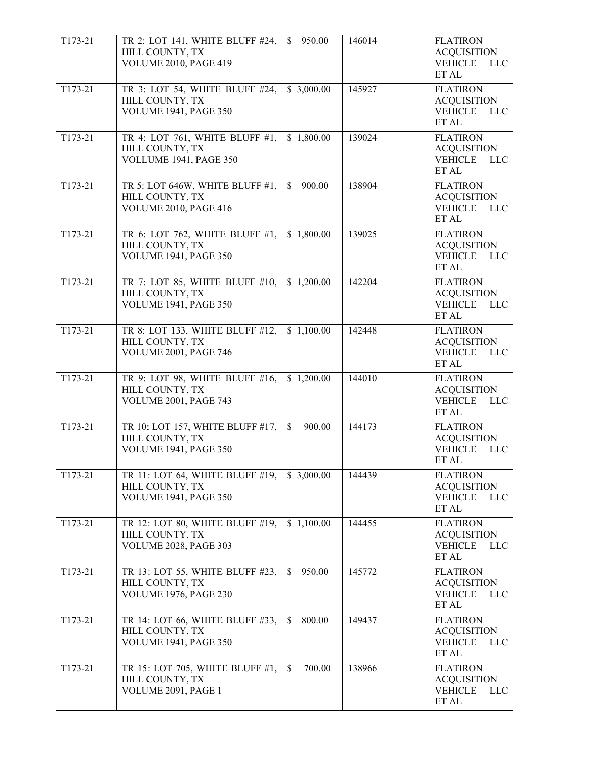| T173-21   | TR 2: LOT 141, WHITE BLUFF #24,<br>HILL COUNTY, TX<br>VOLUME 2010, PAGE 419         | 950.00<br>$\mathbb{S}$  | 146014 | <b>FLATIRON</b><br><b>ACQUISITION</b><br><b>VEHICLE</b><br>LLC<br>ET AL        |
|-----------|-------------------------------------------------------------------------------------|-------------------------|--------|--------------------------------------------------------------------------------|
| T173-21   | TR 3: LOT 54, WHITE BLUFF #24,<br>HILL COUNTY, TX<br><b>VOLUME 1941, PAGE 350</b>   | \$3,000.00              | 145927 | <b>FLATIRON</b><br><b>ACQUISITION</b><br><b>VEHICLE</b><br>$LLC$<br>ET AL      |
| T173-21   | TR 4: LOT 761, WHITE BLUFF #1,<br>HILL COUNTY, TX<br>VOLLUME 1941, PAGE 350         | \$1,800.00              | 139024 | <b>FLATIRON</b><br><b>ACQUISITION</b><br><b>VEHICLE</b><br><b>LLC</b><br>ET AL |
| T173-21   | TR 5: LOT 646W, WHITE BLUFF #1,<br>HILL COUNTY, TX<br>VOLUME 2010, PAGE 416         | 900.00<br>\$.           | 138904 | <b>FLATIRON</b><br><b>ACQUISITION</b><br><b>VEHICLE</b><br>$LLC$<br>ET AL      |
| T173-21   | TR 6: LOT 762, WHITE BLUFF #1,<br>HILL COUNTY, TX<br><b>VOLUME 1941, PAGE 350</b>   | \$1,800.00              | 139025 | <b>FLATIRON</b><br><b>ACQUISITION</b><br><b>VEHICLE</b><br><b>LLC</b><br>ET AL |
| $T173-21$ | TR 7: LOT 85, WHITE BLUFF #10,<br>HILL COUNTY, TX<br><b>VOLUME 1941, PAGE 350</b>   | \$1,200.00              | 142204 | <b>FLATIRON</b><br><b>ACQUISITION</b><br><b>VEHICLE</b><br><b>LLC</b><br>ET AL |
| T173-21   | TR 8: LOT 133, WHITE BLUFF #12,<br>HILL COUNTY, TX<br>VOLUME 2001, PAGE 746         | \$1,100.00              | 142448 | <b>FLATIRON</b><br><b>ACQUISITION</b><br><b>VEHICLE</b><br><b>LLC</b><br>ET AL |
| T173-21   | TR 9: LOT 98, WHITE BLUFF #16,<br>HILL COUNTY, TX<br><b>VOLUME 2001, PAGE 743</b>   | \$1,200.00              | 144010 | <b>FLATIRON</b><br><b>ACQUISITION</b><br><b>VEHICLE</b><br><b>LLC</b><br>ET AL |
| T173-21   | TR 10: LOT 157, WHITE BLUFF #17,<br>HILL COUNTY, TX<br><b>VOLUME 1941, PAGE 350</b> | 900.00<br>$\mathbb{S}$  | 144173 | <b>FLATIRON</b><br><b>ACQUISITION</b><br><b>VEHICLE</b><br><b>LLC</b><br>ET AL |
| T173-21   | TR 11: LOT 64, WHITE BLUFF #19,<br>HILL COUNTY, TX<br><b>VOLUME 1941, PAGE 350</b>  | \$3,000.00              | 144439 | <b>FLATIRON</b><br><b>ACQUISITION</b><br><b>VEHICLE</b><br><b>LLC</b><br>ET AL |
| T173-21   | TR 12: LOT 80, WHITE BLUFF #19,<br>HILL COUNTY, TX<br><b>VOLUME 2028, PAGE 303</b>  | \$1,100.00              | 144455 | <b>FLATIRON</b><br><b>ACQUISITION</b><br><b>VEHICLE</b><br><b>LLC</b><br>ET AL |
| T173-21   | TR 13: LOT 55, WHITE BLUFF #23,<br>HILL COUNTY, TX<br><b>VOLUME 1976, PAGE 230</b>  | 950.00<br>\$            | 145772 | <b>FLATIRON</b><br><b>ACQUISITION</b><br><b>VEHICLE</b><br><b>LLC</b><br>ET AL |
| T173-21   | TR 14: LOT 66, WHITE BLUFF #33,<br>HILL COUNTY, TX<br><b>VOLUME 1941, PAGE 350</b>  | 800.00<br>\$            | 149437 | <b>FLATIRON</b><br><b>ACQUISITION</b><br><b>VEHICLE</b><br><b>LLC</b><br>ET AL |
| T173-21   | TR 15: LOT 705, WHITE BLUFF #1,<br>HILL COUNTY, TX<br>VOLUME 2091, PAGE 1           | 700.00<br><sup>\$</sup> | 138966 | <b>FLATIRON</b><br><b>ACQUISITION</b><br><b>VEHICLE</b><br><b>LLC</b><br>ET AL |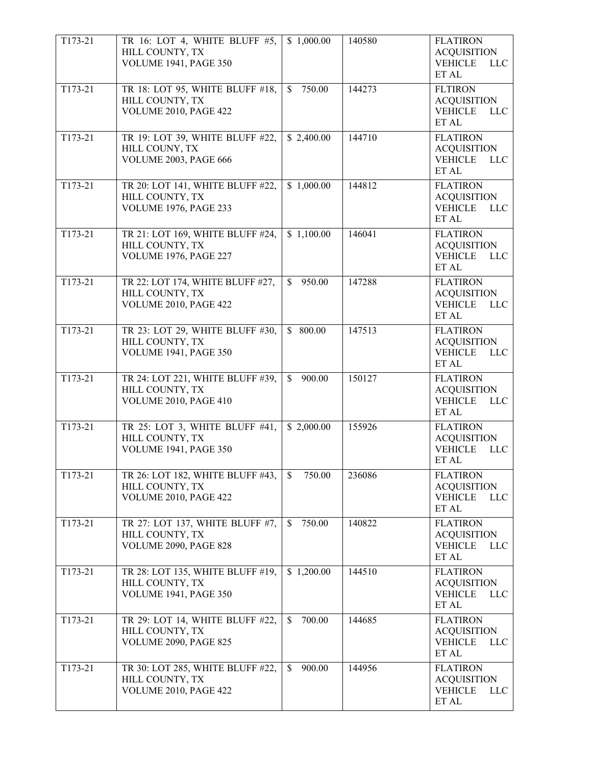| T173-21 | TR 16: LOT 4, WHITE BLUFF #5,<br>HILL COUNTY, TX<br><b>VOLUME 1941, PAGE 350</b>    | \$1,000.00              | 140580 | <b>FLATIRON</b><br><b>ACQUISITION</b><br><b>VEHICLE</b><br><b>LLC</b><br>ET AL |
|---------|-------------------------------------------------------------------------------------|-------------------------|--------|--------------------------------------------------------------------------------|
| T173-21 | TR 18: LOT 95, WHITE BLUFF #18,<br>HILL COUNTY, TX<br>VOLUME 2010, PAGE 422         | 750.00<br>$\mathbb{S}$  | 144273 | <b>FLTIRON</b><br><b>ACQUISITION</b><br><b>VEHICLE</b><br><b>LLC</b><br>ET AL  |
| T173-21 | TR 19: LOT 39, WHITE BLUFF #22,<br>HILL COUNY, TX<br>VOLUME 2003, PAGE 666          | \$2,400.00              | 144710 | <b>FLATIRON</b><br><b>ACQUISITION</b><br><b>VEHICLE</b><br><b>LLC</b><br>ET AL |
| T173-21 | TR 20: LOT 141, WHITE BLUFF #22,<br>HILL COUNTY, TX<br><b>VOLUME 1976, PAGE 233</b> | \$1,000.00              | 144812 | <b>FLATIRON</b><br><b>ACQUISITION</b><br><b>VEHICLE</b><br><b>LLC</b><br>ET AL |
| T173-21 | TR 21: LOT 169, WHITE BLUFF #24,<br>HILL COUNTY, TX<br><b>VOLUME 1976, PAGE 227</b> | \$1,100.00              | 146041 | <b>FLATIRON</b><br><b>ACQUISITION</b><br><b>VEHICLE</b><br><b>LLC</b><br>ET AL |
| T173-21 | TR 22: LOT 174, WHITE BLUFF #27,<br>HILL COUNTY, TX<br>VOLUME 2010, PAGE 422        | 950.00<br>$\mathbb{S}$  | 147288 | <b>FLATIRON</b><br><b>ACQUISITION</b><br><b>VEHICLE</b><br><b>LLC</b><br>ET AL |
| T173-21 | TR 23: LOT 29, WHITE BLUFF #30,<br>HILL COUNTY, TX<br><b>VOLUME 1941, PAGE 350</b>  | \$800.00                | 147513 | <b>FLATIRON</b><br><b>ACQUISITION</b><br><b>VEHICLE</b><br><b>LLC</b><br>ET AL |
| T173-21 | TR 24: LOT 221, WHITE BLUFF #39,<br>HILL COUNTY, TX<br>VOLUME 2010, PAGE 410        | 900.00<br>$\mathbb{S}$  | 150127 | <b>FLATIRON</b><br><b>ACQUISITION</b><br><b>VEHICLE</b><br><b>LLC</b><br>ET AL |
| T173-21 | TR 25: LOT 3, WHITE BLUFF #41,<br>HILL COUNTY, TX<br><b>VOLUME 1941, PAGE 350</b>   | \$2,000.00              | 155926 | <b>FLATIRON</b><br><b>ACQUISITION</b><br><b>VEHICLE</b><br><b>LLC</b><br>ET AL |
| T173-21 | TR 26: LOT 182, WHITE BLUFF #43,<br>HILL COUNTY, TX<br><b>VOLUME 2010, PAGE 422</b> | 750.00<br>\$            | 236086 | <b>FLATIRON</b><br><b>ACQUISITION</b><br><b>VEHICLE</b><br><b>LLC</b><br>ET AL |
| T173-21 | TR 27: LOT 137, WHITE BLUFF #7,<br>HILL COUNTY, TX<br><b>VOLUME 2090, PAGE 828</b>  | 750.00<br>\$            | 140822 | <b>FLATIRON</b><br><b>ACQUISITION</b><br><b>VEHICLE</b><br><b>LLC</b><br>ET AL |
| T173-21 | TR 28: LOT 135, WHITE BLUFF #19,<br>HILL COUNTY, TX<br><b>VOLUME 1941, PAGE 350</b> | \$1,200.00              | 144510 | <b>FLATIRON</b><br><b>ACQUISITION</b><br><b>VEHICLE</b><br><b>LLC</b><br>ET AL |
| T173-21 | TR 29: LOT 14, WHITE BLUFF #22,<br>HILL COUNTY, TX<br><b>VOLUME 2090, PAGE 825</b>  | $\mathcal{S}$<br>700.00 | 144685 | <b>FLATIRON</b><br><b>ACQUISITION</b><br><b>VEHICLE</b><br><b>LLC</b><br>ET AL |
| T173-21 | TR 30: LOT 285, WHITE BLUFF #22,<br>HILL COUNTY, TX<br>VOLUME 2010, PAGE 422        | 900.00<br>\$            | 144956 | <b>FLATIRON</b><br><b>ACQUISITION</b><br><b>VEHICLE</b><br><b>LLC</b><br>ET AL |